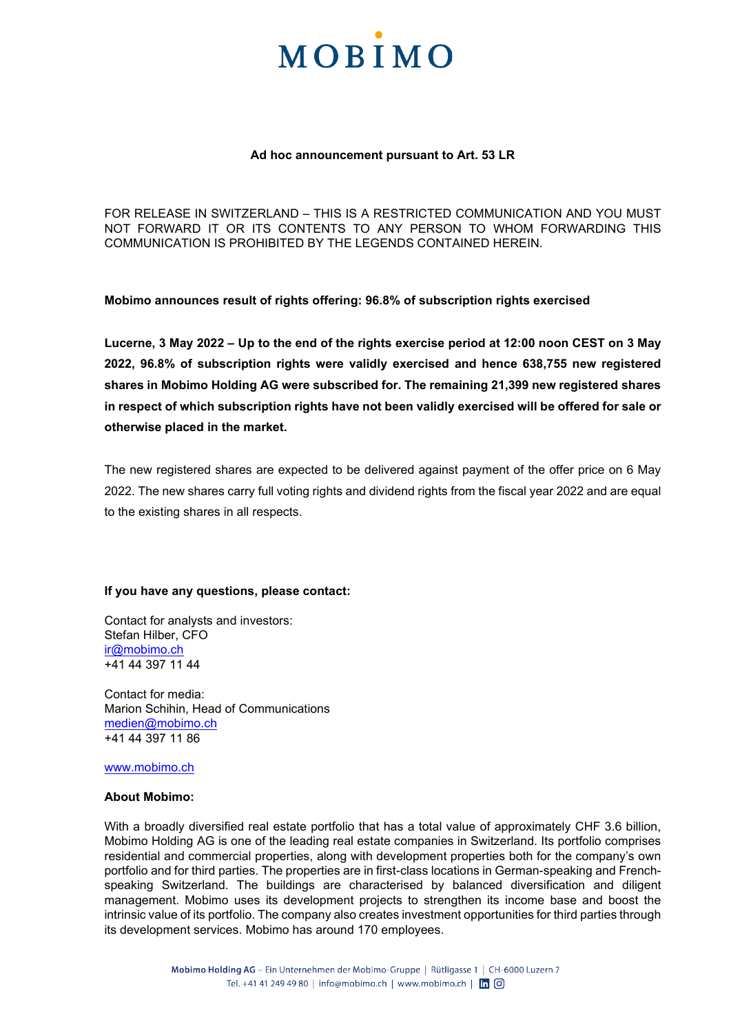### **MOBIMO**

#### **Ad hoc announcement pursuant to Art. 53 LR**

FOR RELEASE IN SWITZERLAND – THIS IS A RESTRICTED COMMUNICATION AND YOU MUST NOT FORWARD IT OR ITS CONTENTS TO ANY PERSON TO WHOM FORWARDING THIS COMMUNICATION IS PROHIBITED BY THE LEGENDS CONTAINED HEREIN.

**Mobimo announces result of rights offering: 96.8% of subscription rights exercised** 

**Lucerne, 3 May 2022 – Up to the end of the rights exercise period at 12:00 noon CEST on 3 May 2022, 96.8% of subscription rights were validly exercised and hence 638,755 new registered shares in Mobimo Holding AG were subscribed for. The remaining 21,399 new registered shares in respect of which subscription rights have not been validly exercised will be offered for sale or otherwise placed in the market.** 

The new registered shares are expected to be delivered against payment of the offer price on 6 May 2022. The new shares carry full voting rights and dividend rights from the fiscal year 2022 and are equal to the existing shares in all respects.

#### **If you have any questions, please contact:**

Contact for analysts and investors: Stefan Hilber, CFO [ir@mobimo.ch](mailto:ir@mobimo.ch)  +41 44 397 11 44

Contact for media: Marion Schihin, Head of Communications [medien@mobimo.ch](mailto:medien@mobimo.ch) +41 44 397 11 86

[www.mobimo.ch](http://www.mobimo.ch/) 

#### **About Mobimo:**

With a broadly diversified real estate portfolio that has a total value of approximately CHF 3.6 billion, Mobimo Holding AG is one of the leading real estate companies in Switzerland. Its portfolio comprises residential and commercial properties, along with development properties both for the company's own portfolio and for third parties. The properties are in first-class locations in German-speaking and Frenchspeaking Switzerland. The buildings are characterised by balanced diversification and diligent management. Mobimo uses its development projects to strengthen its income base and boost the intrinsic value of its portfolio. The company also creates investment opportunities for third parties through its development services. Mobimo has around 170 employees.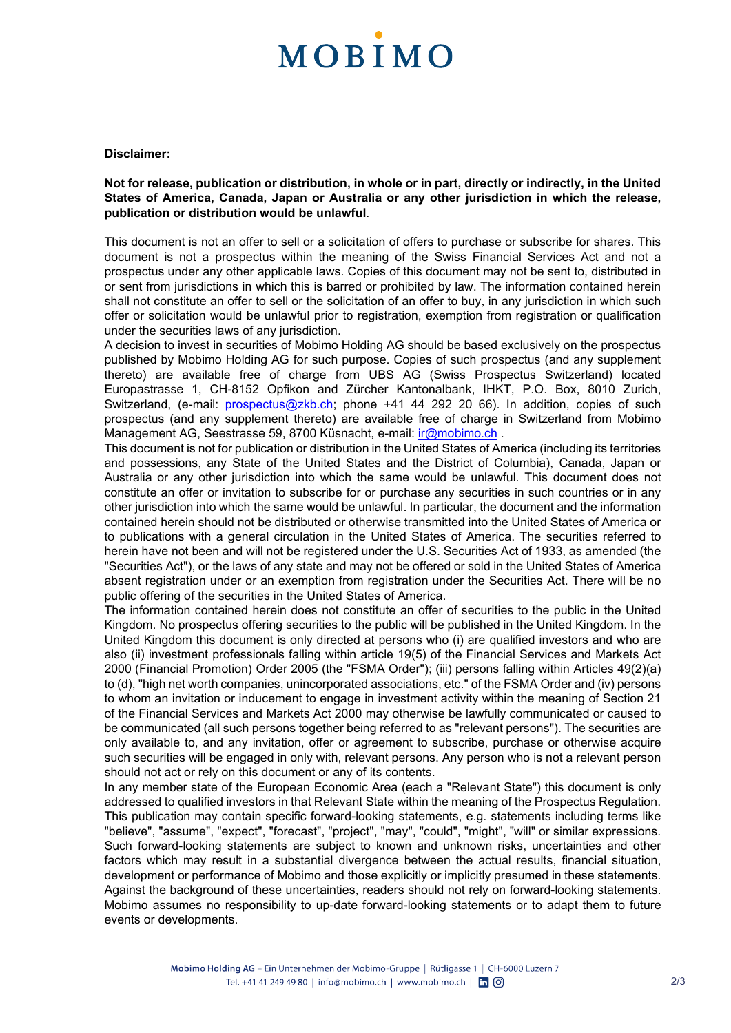## **MOBIMO**

#### **Disclaimer:**

**Not for release, publication or distribution, in whole or in part, directly or indirectly, in the United States of America, Canada, Japan or Australia or any other jurisdiction in which the release, publication or distribution would be unlawful**.

This document is not an offer to sell or a solicitation of offers to purchase or subscribe for shares. This document is not a prospectus within the meaning of the Swiss Financial Services Act and not a prospectus under any other applicable laws. Copies of this document may not be sent to, distributed in or sent from jurisdictions in which this is barred or prohibited by law. The information contained herein shall not constitute an offer to sell or the solicitation of an offer to buy, in any jurisdiction in which such offer or solicitation would be unlawful prior to registration, exemption from registration or qualification under the securities laws of any jurisdiction.

A decision to invest in securities of Mobimo Holding AG should be based exclusively on the prospectus published by Mobimo Holding AG for such purpose. Copies of such prospectus (and any supplement thereto) are available free of charge from UBS AG (Swiss Prospectus Switzerland) located Europastrasse 1, CH-8152 Opfikon and Zürcher Kantonalbank, IHKT, P.O. Box, 8010 Zurich, Switzerland, (e-mail: [prospectus@zkb.ch;](mailto:prospectus@zkb.ch) phone +41 44 292 20 66). In addition, copies of such prospectus (and any supplement thereto) are available free of charge in Switzerland from Mobimo Management AG, Seestrasse 59, 8700 Küsnacht, e-mail: *ir@mobimo.ch.* 

This document is not for publication or distribution in the United States of America (including its territories and possessions, any State of the United States and the District of Columbia), Canada, Japan or Australia or any other jurisdiction into which the same would be unlawful. This document does not constitute an offer or invitation to subscribe for or purchase any securities in such countries or in any other jurisdiction into which the same would be unlawful. In particular, the document and the information contained herein should not be distributed or otherwise transmitted into the United States of America or to publications with a general circulation in the United States of America. The securities referred to herein have not been and will not be registered under the U.S. Securities Act of 1933, as amended (the "Securities Act"), or the laws of any state and may not be offered or sold in the United States of America absent registration under or an exemption from registration under the Securities Act. There will be no public offering of the securities in the United States of America.

The information contained herein does not constitute an offer of securities to the public in the United Kingdom. No prospectus offering securities to the public will be published in the United Kingdom. In the United Kingdom this document is only directed at persons who (i) are qualified investors and who are also (ii) investment professionals falling within article 19(5) of the Financial Services and Markets Act 2000 (Financial Promotion) Order 2005 (the "FSMA Order"); (iii) persons falling within Articles 49(2)(a) to (d), "high net worth companies, unincorporated associations, etc." of the FSMA Order and (iv) persons to whom an invitation or inducement to engage in investment activity within the meaning of Section 21 of the Financial Services and Markets Act 2000 may otherwise be lawfully communicated or caused to be communicated (all such persons together being referred to as "relevant persons"). The securities are only available to, and any invitation, offer or agreement to subscribe, purchase or otherwise acquire such securities will be engaged in only with, relevant persons. Any person who is not a relevant person should not act or rely on this document or any of its contents.

In any member state of the European Economic Area (each a "Relevant State") this document is only addressed to qualified investors in that Relevant State within the meaning of the Prospectus Regulation. This publication may contain specific forward-looking statements, e.g. statements including terms like "believe", "assume", "expect", "forecast", "project", "may", "could", "might", "will" or similar expressions. Such forward-looking statements are subject to known and unknown risks, uncertainties and other factors which may result in a substantial divergence between the actual results, financial situation, development or performance of Mobimo and those explicitly or implicitly presumed in these statements. Against the background of these uncertainties, readers should not rely on forward-looking statements. Mobimo assumes no responsibility to up-date forward-looking statements or to adapt them to future events or developments.